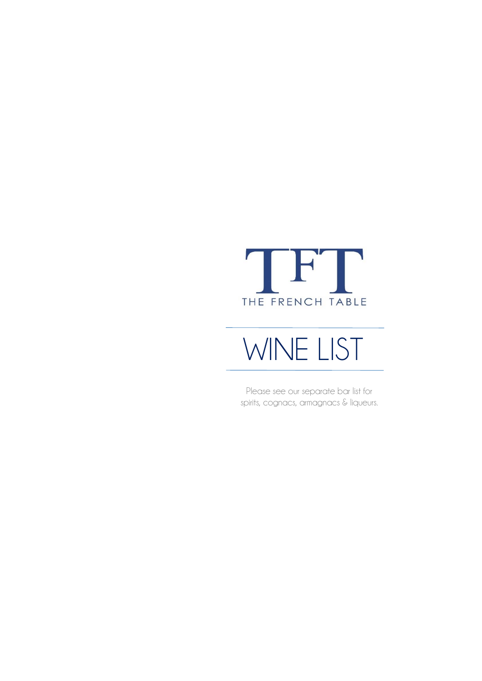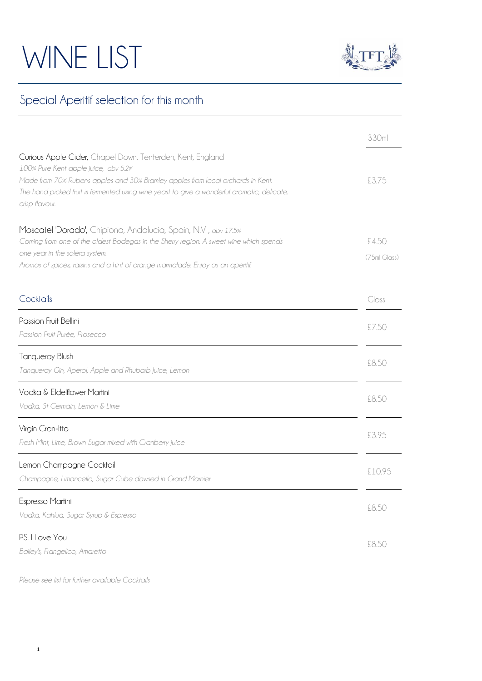

#### Special Aperitif selection for this month

|                                                                                                                                                                                                                                                                                                        | 330ml                 |
|--------------------------------------------------------------------------------------------------------------------------------------------------------------------------------------------------------------------------------------------------------------------------------------------------------|-----------------------|
| Curious Apple Cider, Chapel Down, Tenterden, Kent, England<br>100% Pure Kent apple juice, abv 5.2%<br>Made from 70% Rubens apples and 30% Bramley apples from local orchards in Kent.<br>The hand picked fruit is fermented using wine yeast to give a wonderful aromatic, delicate,<br>crisp flavour. | £3.75                 |
| Moscatel 'Dorado', Chipiona, Andalucia, Spain, N.V, abv 17.5%<br>Coming from one of the oldest Bodegas in the Sherry region. A sweet wine which spends<br>one year in the solera system.<br>Aromas of spices, raisins and a hint of orange marmalade. Enjoy as an aperitif.                            | £4.50<br>(75ml Glass) |
| Cocktails                                                                                                                                                                                                                                                                                              | Glass                 |
| Passion Fruit Bellini<br>Passion Fruit Purée, Prosecco                                                                                                                                                                                                                                                 | £7.50                 |
| Tanqueray Blush<br>Tanqueray Gin, Aperol, Apple and Rhubarb Juice, Lemon                                                                                                                                                                                                                               | £8.50                 |
| Vodka & Eldelflower Martini<br>Vodka, St Germain, Lemon & Lime                                                                                                                                                                                                                                         | £8.50                 |
| Virgin Cran-Itto<br>Fresh Mint, Lime, Brown Sugar mixed with Cranberry juice                                                                                                                                                                                                                           | £3.95                 |
| Lemon Champagne Cocktail<br>Champagne, Limancello, Sugar Cube dowsed in Grand Marnier                                                                                                                                                                                                                  | £10.95                |
| Espresso Martini<br>Vodka, Kahlua, Sugar Syrup & Espresso                                                                                                                                                                                                                                              | £8.50                 |
| PS. I Love You<br>Bailey's, Frangelico, Amaretto                                                                                                                                                                                                                                                       | £8.50                 |

*Please see list for further available Cocktails*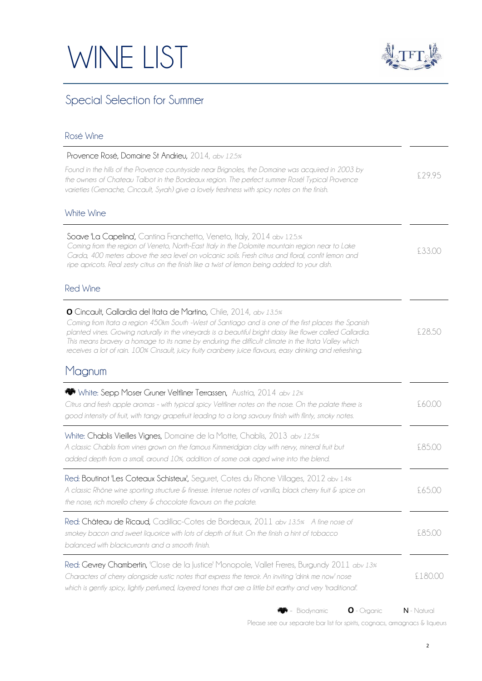



#### Special Selection for Summer

#### Rosé Wine

| Provence Rosé, Domaine St Andrieu, 2014, aby 12.5%                                                                                                                                                                                                                                                                                                                                                                                                                                                                    |         |
|-----------------------------------------------------------------------------------------------------------------------------------------------------------------------------------------------------------------------------------------------------------------------------------------------------------------------------------------------------------------------------------------------------------------------------------------------------------------------------------------------------------------------|---------|
| Found in the hills of the Provence countryside near Brignoles, the Domaine was acquired in 2003 by<br>the owners of Chateau Talbot in the Bordeaux region. The perfect summer Rosé! Typical Provence<br>varieties (Grenache, Cincault, Syrah) give a lovely freshness with spicy notes on the finish.                                                                                                                                                                                                                 | £29.95  |
| White Wine                                                                                                                                                                                                                                                                                                                                                                                                                                                                                                            |         |
| Soave 'La Capelina', Cantina Franchetto, Veneto, Italy, 2014 abv 12.5.%<br>Coming from the region of Veneto, North-East Italy in the Dolomite mountain region near to Lake<br>Garda, 400 meters above the sea level on volcanic soils. Fresh citrus and floral, confit lemon and<br>ripe apricots. Real zesty citrus on the finish like a twist of lemon being added to your dish.                                                                                                                                    | £33.00  |
| <b>Red Wine</b>                                                                                                                                                                                                                                                                                                                                                                                                                                                                                                       |         |
| <b>O</b> Cincault, Gallardia del Itata de Martino, Chile, 2014, abv 13.5%<br>Coming from Itata a region 450km South -West of Santiago and is one of the first places the Spanish<br>planted vines. Growing naturally in the vineyards is a beautiful bright daisy like flower called Gallardia.<br>This means bravery a homage to its name by enduring the difficult climate in the Itata Valley which<br>receives a lot of rain. 100% Cinsault, juicy fruity cranberry juice flavours, easy drinking and refreshing. | £28.50  |
| Magnum                                                                                                                                                                                                                                                                                                                                                                                                                                                                                                                |         |
| White: Sepp Moser Gruner Veltliner Terrassen, Austria, 2014 abv 12%<br>Citrus and fresh apple aromas - with typical spicy Veltliner notes on the nose. On the palate there is<br>good intensity of fruit, with tangy grapefruit leading to a long savoury finish with flinty, smoky notes.                                                                                                                                                                                                                            | £60.00  |
| White: Chablis Vieilles Vignes, Domaine de la Motte, Chablis, 2013 abv 12.5%<br>A classic Chablis from vines grown on the famous Kimmeridgian clay with nervy, mineral fruit but<br>added depth from a small, around 10%, addition of some oak aged wine into the blend.                                                                                                                                                                                                                                              | £85.00  |
| Red: Boutinot 'Les Coteaux Schisteux', Seguret, Cotes du Rhone Villages, 2012 aby 14%<br>A classic Rhône wine sporting structure & finesse. Intense notes of vanilla, black cherry fruit & spice on<br>the nose, rich morello cherry & chocolate flavours on the palate.                                                                                                                                                                                                                                              | £65.00  |
| Red: Château de Ricaud, Cadillac-Cotes de Bordeaux, 2011 aby 13.5% A fine nose of<br>smokey bacon and sweet liquorice with lots of depth of fruit. On the finish a hint of tobacco<br>balanced with blackcurrants and a smooth finish.                                                                                                                                                                                                                                                                                | £85.00  |
| Red: Gevrey Chambertin, 'Close de la Justice' Monopole, Vallet Freres, Burgundy 2011 abv 13%<br>Characters of cherry alongside rustic notes that express the terroir. An inviting 'drink me now' nose<br>which is gently spicy, lightly perfumed, layered tones that are a little bit earthy and very 'traditional'.                                                                                                                                                                                                  | £180.00 |

- Biodynamic **O** - Organic **N** - Natural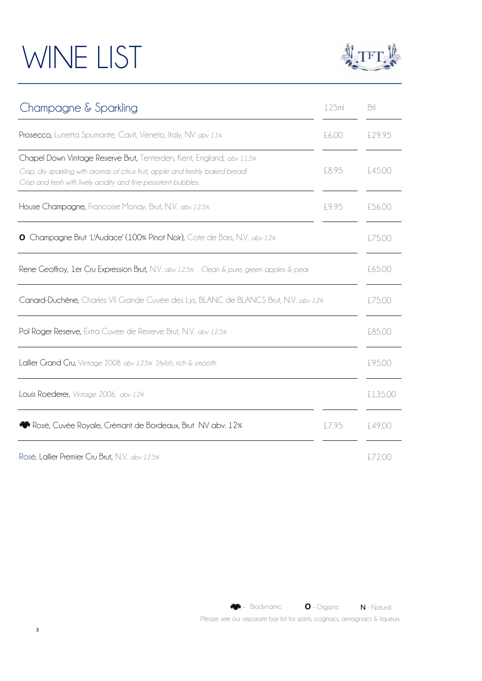

| Champagne & Sparkling                                                                                                                                                                                                         | 125ml | <b>Btl</b> |
|-------------------------------------------------------------------------------------------------------------------------------------------------------------------------------------------------------------------------------|-------|------------|
| Prosecco, Lunetta Spumante, Cavit, Veneto, Italy, NV abv 11%                                                                                                                                                                  | £6.00 | £29.95     |
| Chapel Down Vintage Reserve Brut, Tenterden, Kent, England, abv 11.5%<br>Crisp, dry sparkling with aromas of citrus fruit, apple and freshly baked bread!<br>Crisp and fresh with lively acidity and fine persistent bubbles. | £8.95 | £45.00     |
| House Champagne, Francoise Monay, Brut, N.V. abv 12.5%                                                                                                                                                                        | £9.95 | £56.00     |
| <b>O</b> Champagne Brut 'L'Audace' (100% Pinot Noir), Cote de Bars, N.V. abv 12%                                                                                                                                              |       | £75.00     |
| Rene Geoffroy, 1er Cru Expression Brut, N.V. abv 12.5% Clean & pure, green apples & pear.                                                                                                                                     |       | £65.00     |
| Canard-Duchêne, Charles VII Grande Cuvée des Lys, BLANC de BLANCS Brut, N.V. abv 12%                                                                                                                                          |       | £75.00     |
| Pol Roger Reserve, Extra Cuvee de Reserve Brut, N.V. abv 12.5%                                                                                                                                                                |       | £85.00     |
| Lallier Grand Cru, Vintage 2008 abv 12.5% Stylish, rich & smooth.                                                                                                                                                             |       | £95.00     |
| Louis Roederer, Vintage 2006, abv 12%                                                                                                                                                                                         |       | £135.00    |
| ** Rosé, Cuvée Royale, Crémant de Bordeaux, Brut NV abv. 12%                                                                                                                                                                  | £7.95 | £49.00     |
| Rosé, Lallier Premier Cru Brut, N.V. abv 12.5%                                                                                                                                                                                |       | £72.00     |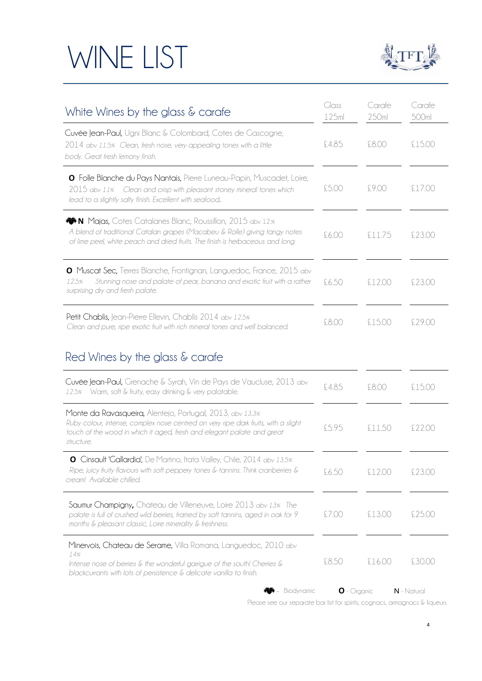

| White Wines by the glass & carafe                                                                                                                                                                                                       | Glass<br>125ml | Carafe<br>250ml     | Carafe<br>500ml |
|-----------------------------------------------------------------------------------------------------------------------------------------------------------------------------------------------------------------------------------------|----------------|---------------------|-----------------|
| Cuvée Jean-Paul, Ugni Blanc & Colombard, Cotes de Gascogne,<br>2014 abv 11.5% Clean, fresh nose, very appealing tones with a little<br>body. Great fresh lemony finish.                                                                 | £4.85          | £8.00               | £15.00          |
| <b>O</b> Folle Blanche du Pays Nantais, Pierre Luneau-Papin, Muscadet, Loire,<br>2015 abv 11% Clean and crisp with pleasant stoney mineral tones which<br>lead to a slightly salty finish. Excellent with seafood.                      | £5.00          | £9.00               | £17.00          |
| <b>Nominal</b> Majas, Cotes Catalanes Blanc, Roussillon, 2015 abv 12.%<br>A blend of traditional Catalan grapes (Macabeu & Rolle) giving tangy notes<br>of lime peel, white peach and dried fruits. The finish is herbaceous and long   | £6.00          | £11.75              | £23.00          |
| <b>O</b> Muscat Sec, Terres Blanche, Frontignan, Languedoc, France, 2015 abv<br>Stunning nose and palate of pear, banana and exotic fruit with a rather<br>12.5%<br>surprising dry and fresh palate.                                    | £6.50          | £12.00              | £23.00          |
| Petit Chablis, Jean-Pierre Ellevin, Chablis 2014 abv 12.5%<br>Clean and pure, ripe exotic fruit with rich mineral tones and well balanced.                                                                                              | £8.00          | £15.00              | £29.00          |
| Red Wines by the glass $\&$ carafe                                                                                                                                                                                                      |                |                     |                 |
| Cuvée Jean-Paul, Grenache & Syrah, Vin de Pays de Vaucluse, 2013 abv<br>12.5% Warm, soft & fruity, easy drinking & very palatable.                                                                                                      | £4.85          | £8.00               | £15.00          |
| Monte da Ravasqueira, Alentejo, Portugal, 2013, abv 13.3%<br>Ruby colour, intense, complex nose centred on very ripe dark fruits, with a slight<br>touch of the wood in which it aged, fresh and elegant palate and great<br>structure. | £5.95          | £11.50              | £22.00          |
| <b>O</b> Cinsault 'Gallardia', De Martino, Itata Valley, Chile, 2014 abv 13.5%<br>Ripe, juicy fruity flavours with soft peppery tones & tannins. Think cranberries &<br>cream! Available chilled.                                       | £6.50          | £12.00              | £23.00          |
| Saumur Champigny, Chateau de Villeneuve, Loire 2013 abv 13% The<br>palate is full of crushed wild berries, framed by soft tannins, aged in oak for 9<br>months & pleasant classic, Loire minerality & freshness.                        | £7.00          | £13.00              | £25.00          |
| Minervois, Chateau de Serame, Villa Romana, Languedoc, 2010 abv<br>14%                                                                                                                                                                  | £8.50          | £16.00              | £30.00          |
| Intense nose of berries & the wonderful garrigue of the south! Cherries &<br>blackcurrants with lots of persistence & delicate vanilla to finish.<br><b>Diodynamic</b>                                                                  |                | $\bullet$ - Organic | $N$ - Natural   |

Please see our separate bar list for spirits, cognacs, armagnacs & liqueurs

4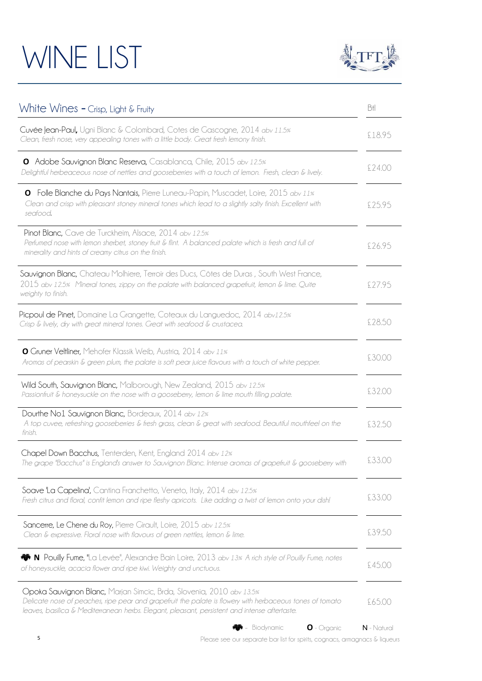

| White Wines - Crisp, Light & Fruity                                                                                                                                                                                                                                               | <b>Btl</b> |
|-----------------------------------------------------------------------------------------------------------------------------------------------------------------------------------------------------------------------------------------------------------------------------------|------------|
| Cuvée Jean-Paul, Ugni Blanc & Colombard, Cotes de Gascogne, 2014 abv 11.5%<br>Clean, fresh nose, very appealing tones with a little body. Great fresh lemony finish.                                                                                                              | £18.95     |
| <b>O</b> Adobe Sauvignon Blanc Reserva, Casablanca, Chile, 2015 abv 12.5%<br>Delightful herbeaceous nose of nettles and gooseberries with a touch of lemon. Fresh, clean & lively.                                                                                                | £24.00     |
| <b>O</b> Folle Blanche du Pays Nantais, Pierre Luneau-Papin, Muscadet, Loire, 2015 aby 11%<br>Clean and crisp with pleasant stoney mineral tones which lead to a slightly salty finish. Excellent with<br>seafood.                                                                | £25.95     |
| Pinot Blanc, Cave de Turckheim, Alsace, 2014 abv 12.5%<br>Perfumed nose with lemon sherbet, stoney fruit & flint. A balanced palate which is fresh and full of<br>minerality and hints of creamy citrus on the finish.                                                            | £26.95     |
| Sauvignon Blanc, Chateau Molhiere, Terroir des Ducs, Côtes de Duras, South West France,<br>2015 abv 12.5% Mineral tones, zippy on the palate with balanced grapefruit, lemon & lime. Quite<br>weighty to finish.                                                                  | £27.95     |
| Picpoul de Pinet, Domaine La Grangette, Coteaux du Languedoc, 2014 abv12.5%<br>Crisp & lively, dry with great mineral tones. Great with seafood & crustacea.                                                                                                                      | £28.50     |
| <b>O</b> Gruner Veltliner, Mehofer Klassik Weib, Austria, 2014 abv 11%<br>Aromas of pearskin & green plum, the palate is soft pear juice flavours with a touch of white pepper.                                                                                                   | £30.00     |
| Wild South, Sauvignon Blanc, Malborough, New Zealand, 2015 abv 12.5%<br>Passionfruit & honeysuckle on the nose with a gooseberry, lemon & lime mouth filling palate.                                                                                                              | £32.00     |
| Dourthe No1 Sauvignon Blanc, Bordeaux, 2014 abv 12%<br>A top cuvee, refreshing gooseberries & fresh grass, clean & great with seafood. Beautiful mouthfeel on the<br>finish.                                                                                                      | £32.50     |
| Chapel Down Bacchus, Tenterden, Kent, England 2014 abv 12%<br>The grape "Bacchus" is England's answer to Sauvignon Blanc. Intense aromas of grapefruit & gooseberry with                                                                                                          | £33.00     |
| Soave 'La Capelina', Cantina Franchetto, Veneto, Italy, 2014 abv 12.5%<br>Fresh citrus and floral, confit lemon and ripe fleshy apricots. Like adding a twist of lemon onto your dish!                                                                                            | £33.00     |
| Sancerre, Le Chene du Roy, Pierre Girault, Loire, 2015 abv 12.5%<br>Clean & expressive. Floral nose with flavours of green nettles, lemon & lime.                                                                                                                                 | £39.50     |
| <b>希 N</b> Pouilly Fume, "La Levée", Alexandre Bain Loire, 2013 <i>abv 13% A rich style of Pouilly Fume, notes</i><br>of honeysuckle, acacia flower and ripe kiwi. Weighty and unctuous.                                                                                          | £45.00     |
| Opoka Sauvignon Blanc, Marjan Simcic, Brda, Slovenia, 2010 abv 13.5%<br>Delicate nose of peaches, ripe pear and grapefruit the palate is flowery with herbaceous tones of tomato<br>leaves, basilica & Mediterranean herbs. Elegant, pleasant, persistent and intense aftertaste. | £65.00     |

- Biodynamic **O** - Organic **N** - Natural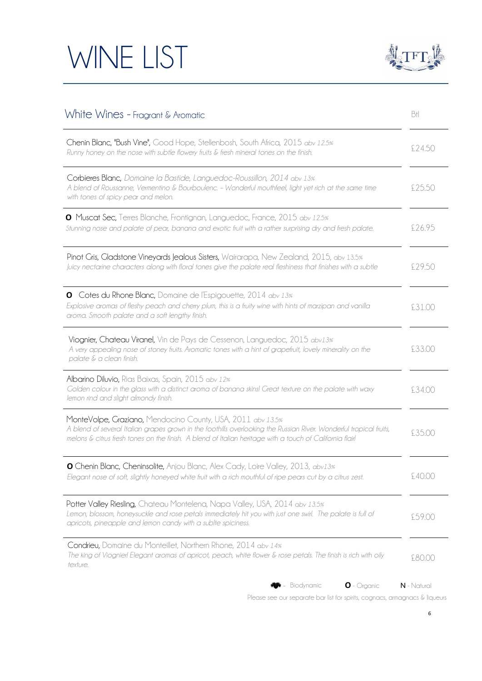

| White Wines - Fragrant & Aromatic                                                                                                                                                                                                                                                             | <b>Btl</b>  |
|-----------------------------------------------------------------------------------------------------------------------------------------------------------------------------------------------------------------------------------------------------------------------------------------------|-------------|
| Chenin Blanc, "Bush Vine", Good Hope, Stellenbosh, South Africa, 2015 abv 12.5%<br>Runny honey on the nose with subtle flowery fruits & fresh mineral tones on the finish.                                                                                                                    | £24.50      |
| Corbieres Blanc, Domaine la Bastide, Languedoc-Roussillon, 2014 abv 13%<br>A blend of Roussanne, Vermentino & Bourboulenc. - Wonderful mouthfeel, light yet rich at the same time<br>with tones of spicy pear and melon.                                                                      | £25.50      |
| <b>O</b> Muscat Sec, Terres Blanche, Frontignan, Languedoc, France, 2015 abv 12.5%<br>Stunning nose and palate of pear, banana and exotic fruit with a rather surprising dry and fresh palate.                                                                                                | £26.95      |
| Pinot Gris, Gladstone Vineyards Jealous Sisters, Wairarapa, New Zealand, 2015, abv 13.5%<br>Juicy nectarine characters along with floral tones give the palate real fleshiness that finishes with a subtle                                                                                    | £29.50      |
| <b>O</b> Cotes du Rhone Blanc, Domaine de l'Espigouette, 2014 abv 13%<br>Explosive aromas of fleshy peach and cherry plum, this is a fruity wine with hints of marzipan and vanilla<br>aroma. Smooth palate and a soft lengthy finish.                                                        | £31.00      |
| Viognier, Chateau Viranel, Vin de Pays de Cessenon, Languedoc, 2015 abv13%<br>A very appealing nose of stoney fruits. Aromatic tones with a hint of grapefruit, lovely minerality on the<br>palate & a clean finish.                                                                          | £33.00      |
| Albarino Diluvio, Rias Baixas, Spain, 2015 abv 12%<br>Golden colour in the glass with a distinct aroma of banana skins! Great texture on the palate with waxy<br>lemon rind and slight almondy finish.                                                                                        | £34.00      |
| MonteVolpe, Graziano, Mendocino County, USA, 2011 abv 13.5%<br>A blend of several Italian grapes grown in the foothills overlooking the Russian River. Wonderful tropical fruits,<br>melons & citrus fresh tones on the finish. A blend of Italian heritage with a touch of California flair! | £35.00      |
| <b>O</b> Chenin Blanc, Cheninsolite, Anjou Blanc, Alex Cady, Loire Valley, 2013, abv13%<br>Elegant nose of soft, slightly honeyed white fruit with a rich mouthful of ripe pears cut by a citrus zest.                                                                                        | £40.00      |
| Potter Valley Riesling, Chateau Montelena, Napa Valley, USA, 2014 abv 13.5%<br>Lemon, blossom, honeysuckle and rose petals immediately hit you with just one swirl. The palate is full of<br>apricots, pineapple and lemon candy with a sublte spiciness.                                     | £59.00      |
| Condrieu, Domaine du Monteillet, Northern Rhone, 2014 abv 14%<br>The king of Viognier! Elegant aromas of apricot, peach, white flower & rose petals. The finish is rich with oily<br>texture.                                                                                                 | £80.00      |
| <b>A</b> - Biodynamic<br>$\bullet$ - Organic                                                                                                                                                                                                                                                  | N - Natural |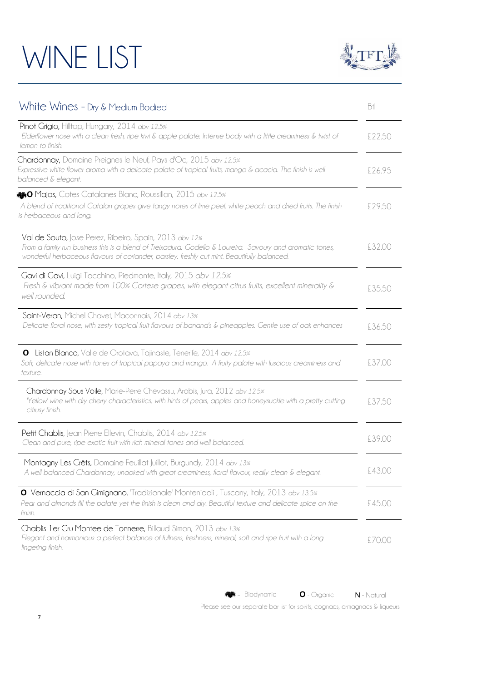

| White Wines - Dry & Medium Bodied                                                                                                                                                                                                                                   | <b>Btl</b> |
|---------------------------------------------------------------------------------------------------------------------------------------------------------------------------------------------------------------------------------------------------------------------|------------|
| Pinot Grigio, Hilltop, Hungary, 2014 abv 12.5%<br>Elderflower nose with a clean fresh, ripe kiwi & apple palate. Intense body with a little creaminess & twist of<br>lemon to finish.                                                                               | £22.50     |
| Chardonnay, Domaine Preignes le Neuf, Pays d'Oc, 2015 abv 12.5%<br>Expressive white flower aroma with a delicate palate of tropical fruits, mango & acacia. The finish is well<br>balanced & elegant.                                                               | £26.95     |
| <b>no Majas, Cotes Catalanes Blanc, Roussillon, 2015 abv 12.5%</b><br>A blend of traditional Catalan grapes give tangy notes of lime peel, white peach and dried fruits. The finish<br>is herbaceous and long.                                                      | £29.50     |
| Val de Souto, Jose Perez, Ribeiro, Spain, 2013 abv 12%<br>From a family run business this is a blend of Treixadura, Godello & Loureira. Savoury and aromatic tones,<br>wonderful herbaceous flavours of coriander, parsley, freshly cut mint. Beautifully balanced. | £32.00     |
| Gavi di Gavi, Luigi Tacchino, Piedmonte, Italy, 2015 abv 12.5%<br>Fresh & vibrant made from 100% Cortese grapes, with elegant citrus fruits, excellent minerality &<br>well rounded.                                                                                | £35.50     |
| Saint-Veran, Michel Chavet, Maconnais, 2014 abv 13%<br>Delicate floral nose, with zesty tropical fruit flavours of banana's & pineapples. Gentle use of oak enhances                                                                                                | £36.50     |
| Listan Blanco, Valle de Orotava, Tajinaste, Tenerife, 2014 <i>abv 12.5%</i><br>O.<br>Soft, delicate nose with tones of tropical papaya and mango. A fruity palate with luscious creaminess and<br>texture.                                                          | £37.00     |
| Chardonnay Sous Voile, Marie-Perre Chevassu, Arobis, Jura, 2012 abv 12.5%<br>'Yellow' wine with dry cherry characteristics, with hints of pears, apples and honeysuckle with a pretty cutting<br>citrusy finish.                                                    | £37.50     |
| Petit Chablis, Jean Pierre Ellevin, Chablis, 2014 abv 12.5%<br>Clean and pure, ripe exotic fruit with rich mineral tones and well balanced.                                                                                                                         | £39.00     |
| Montagny Les Crêts, Domaine Feuillat Juillot, Burgundy, 2014 abv 13%<br>A well balanced Chardonnay, unaoked with great creaminess, floral flavour, really clean & elegant.                                                                                          | £43.00     |
| O Vernaccia di San Gimignano, 'Tradizionale' Montenidoli , Tuscany, Italy, 2013 abv 13.5%<br>Pear and almonds fill the palate yet the finish is clean and dry. Beautiful texture and delicate spice on the<br>finish.                                               | £45.00     |
| Chablis 1er Cru Montee de Tonnerre, Billaud Simon, 2013 abv 13%<br>Elegant and harmonious a perfect balance of fullness, freshness, mineral, soft and ripe fruit with a long<br>lingering finish.                                                                   | £70.00     |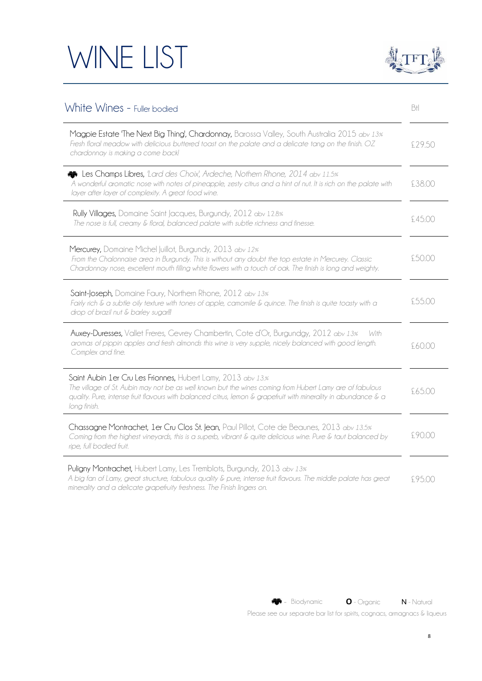

| White Wines - Fuller bodied                                                                                                                                                                                                                                                                                | <b>Btl</b> |
|------------------------------------------------------------------------------------------------------------------------------------------------------------------------------------------------------------------------------------------------------------------------------------------------------------|------------|
| Magpie Estate 'The Next Big Thing', Chardonnay, Barossa Valley, South Australia 2015 abv 13%<br>Fresh floral meadow with delicious buttered toast on the palate and a delicate tang on the finish. OZ<br>chardonnay is making a come back!                                                                 | £29.50     |
| <b>**</b> Les Champs Libres, 'Lard des Choix', Ardeche, Nothern Rhone, 2014 abv 11.5%<br>A wonderful aromatic nose with notes of pineapple, zesty citrus and a hint of nut. It is rich on the palate with<br>layer after layer of complexity. A great food wine.                                           | £38.00     |
| Rully Villages, Domaine Saint Jacques, Burgundy, 2012 abv 12.8%<br>The nose is full, creamy & floral, balanced palate with subtle richness and finesse.                                                                                                                                                    | £45.00     |
| Mercurey, Domaine Michel Juillot, Burgundy, 2013 abv 12%<br>From the Chalonnaise area in Burgundy. This is without any doubt the top estate in Mercurey. Classic<br>Chardonnay nose, excellent mouth filling white flowers with a touch of oak. The finish is long and weighty.                            | £50.00     |
| Saint-Joseph, Domaine Faury, Northern Rhone, 2012 abv 13%<br>Fairly rich & a subtle oily texture with tones of apple, camomile & quince. The finish is quite toasty with a<br>drop of brazil nut & barley sugar!!!                                                                                         | £55.00     |
| Auxey-Duresses, Vallet Freres, Gevrey Chambertin, Cote d'Or, Burgundgy, 2012 abv 13%<br>With<br>aromas of pippin apples and fresh almonds this wine is very supple, nicely balanced with good length.<br>Complex and fine.                                                                                 | £60.00     |
| Saint Aubin 1er Cru Les Frionnes, Hubert Lamy, 2013 abv 13.%<br>The village of St. Aubin may not be as well known but the wines coming from Hubert Lamy are of fabulous<br>quality. Pure, intense fruit flavours with balanced citrus, lemon & grapefruit with minerality in abundance & a<br>long finish. | £65.00     |
| Chassagne Montrachet, 1er Cru Clos St. Jean, Paul Pillot, Cote de Beaunes, 2013 abv 13.5%<br>Coming from the highest vineyards, this is a superb, vibrant & quite delicious wine. Pure & taut balanced by<br>ripe, full bodied fruit.                                                                      | £90.00     |
| Puligny Montrachet, Hubert Lamy, Les Tremblots, Burgundy, 2013 abv 13%<br>A big fan of Lamy, great structure, fabulous quality & pure, intense fruit flavours. The middle palate has great<br>minerality and a delicate grapefruity freshness. The Finish lingers on.                                      | £95.00     |

- Biodynamic **O** - Organic **N** - Natural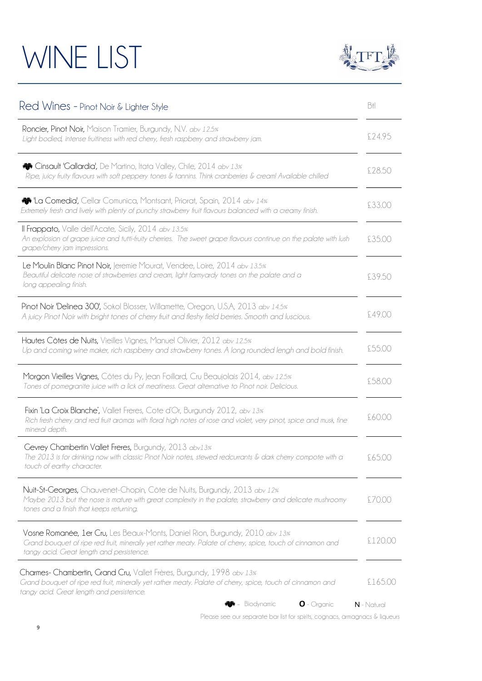

| Red Wines - Pinot Noir & Lighter Style                                                                                                                                                                                                   | <b>B</b> tl   |
|------------------------------------------------------------------------------------------------------------------------------------------------------------------------------------------------------------------------------------------|---------------|
| Roncier, Pinot Noir, Maison Tramier, Burgundy, N.V. abv 12.5%<br>Light bodied, intense fruitiness with red cherry, fresh raspberry and strawberry jam.                                                                                   | £24.95        |
| <b>**</b> Cinsault 'Gallardia', De Martino, Itata Valley, Chile, 2014 abv 13%<br>Ripe, juicy fruity flavours with soft peppery tones & tannins. Think cranberries & cream! Available chilled                                             | £28.50        |
| ** La Comedia', Cellar Comunica, Montsant, Priorat, Spain, 2014 abv 14%<br>Extremely fresh and lively with plenty of punchy strawberry fruit flavours balanced with a creamy finish.                                                     | £33.00        |
| Il Frappato, Valle dell'Acate, Sicily, 2014 abv 13.5%<br>An explosion of grape juice and tutti-fruity cherries. The sweet grape flavours continue on the palate with lush<br>grape/cherry jam impressions.                               | £35.00        |
| Le Moulin Blanc Pinot Noir, Jeremie Mourat, Vendee, Loire, 2014 abv 13.5%<br>Beautiful delicate nose of strawberries and cream, light farmyardy tones on the palate and a<br>long appealing finish.                                      | £39.50        |
| Pinot Noir 'Delinea 300', Sokol Blosser, Willamette, Oregon, U.S.A, 2013 abv 14.5%<br>A juicy Pinot Noir with bright tones of cherry fruit and fleshy field berries. Smooth and luscious.                                                | £49.00        |
| Hautes Côtes de Nuits, Vieilles Vignes, Manuel Olivier, 2012 abv 12.5%<br>Up and coming wine maker, rich raspberry and strawberry tones. A long rounded lengh and bold finish.                                                           | £55.00        |
| Morgon Vieilles Vignes, Côtes du Py, Jean Foillard, Cru Beaujolais 2014, abv 12.5%<br>Tones of pomegranite juice with a lick of meatiness. Great alternative to Pinot noir. Delicious.                                                   | £58.00        |
| Fixin 'La Croix Blanche', Vallet Freres, Cote d'Or, Burgundy 2012, abv 13%<br>Rich fresh cherry and red fruit aromas with floral high notes of rose and violet, very pinot, spice and musk, fine<br>mineral depth.                       | £60.00        |
| Gevrey Chambertin Vallet Freres, Burgundy, 2013 abv13%<br>The 2013 is for drinking now with classic Pinot Noir notes, stewed redcurrants & dark cherry compote with a<br>touch of earthy character.                                      | £65.00        |
| Nuit-St-Georges, Chauvenet-Chopin, Côte de Nuits, Burgundy, 2013 abv 12%<br>Maybe 2013 but the nose is mature with great complexity in the palate, strawberry and delicate mushroomy<br>tones and a finish that keeps returning.         | £70.00        |
| Vosne Romanée, 1er Cru, Les Beaux-Monts, Daniel Rion, Burgundy, 2010 aby 13%<br>Grand bouquet of ripe red fruit, minerally yet rather meaty. Palate of cherry, spice, touch of cinnamon and<br>tangy acid. Great length and persistence. | £120.00       |
| Charmes-Chambertin, Grand Cru, Vallet Frères, Burgundy, 1998 abv 13%<br>Grand bouquet of ripe red fruit, minerally yet rather meaty. Palate of cherry, spice, touch of cinnamon and<br>tangy acid. Great length and persistence.         | £165.00       |
| - Biodynamic<br>$\bullet$ - Organic                                                                                                                                                                                                      | $N$ - Natural |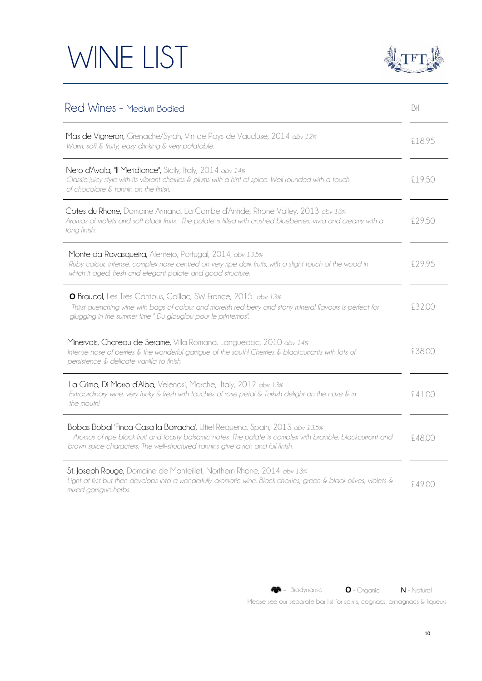

| Red Wines - Medium Bodied                                                                                                                                                                                                                                                    | <b>Btl</b> |
|------------------------------------------------------------------------------------------------------------------------------------------------------------------------------------------------------------------------------------------------------------------------------|------------|
| Mas de Vigneron, Grenache/Syrah, Vin de Pays de Vaucluse, 2014 abv 12%<br>Warm, soft & fruity, easy drinking & very palatable.                                                                                                                                               | £18.95     |
| Nero d'Avola, "Il Meridiance", Sicily, Italy, 2014 abv 14%<br>Classic juicy style with its vibrant cherries & plums with a hint of spice. Well rounded with a touch<br>of chocolate & tannin on the finish.                                                                  | £19.50     |
| Cotes du Rhone, Domaine Armand, La Combe d'Antide, Rhone Valley, 2013 aby 13%<br>Aromas of violets and soft black fruits. The palate is filled with crushed blueberries, vivid and creamy with a<br>long finish.                                                             | £29.50     |
| Monte da Ravasqueira, Alentejo, Portugal, 2014, abv 13.5%<br>Ruby colour, intense, complex nose centred on very ripe dark fruits, with a slight touch of the wood in<br>which it aged, fresh and elegant palate and good structure.                                          | £29.95     |
| <b>O Braucol, Les Tres Cantous, Gaillac, SW France, 2015</b> abv 13%<br>Thirst quenching wine with bags of colour and moreish red beny and stony mineral flavours is perfect for<br>glugging in the summer time " Du glouglou pour le printemps".                            | £32.00     |
| Minervois, Chateau de Serame, Villa Romana, Languedoc, 2010 abv 14%<br>Intense nose of berries & the wonderful garrigue of the south! Cherries & blackcurrants with lots of<br>persistence & delicate vanilla to finish.                                                     | £38.00     |
| La Crima, Di Morro d'Alba, Velenosi, Marche, Italy, 2012 abv 13%<br>Extraordinary wine, very funky & fresh with touches of rose petal & Turkish delight on the nose & in<br>the mouth!                                                                                       | £41.00     |
| Bobas Bobal 'Finca Casa la Borracha', Utiel Requena, Spain, 2013 abv 13.5%<br>Aromas of ripe black fruit and toasty balsamic notes. The palate is complex with bramble, blackcurrant and<br>brown spice characters. The well-structured tannins give a rich and full finish. | £48.00     |
| St. Joseph Rouge, Domaine de Monteillet, Northern Rhone, 2014 abv 13%<br>Light at first but then develops into a wonderfully aromatic wine. Black cherries, green & black olives, violets &<br>mixed garrigue herbs.                                                         | £49.00     |

- Biodynamic **O** - Organic **N** - Natural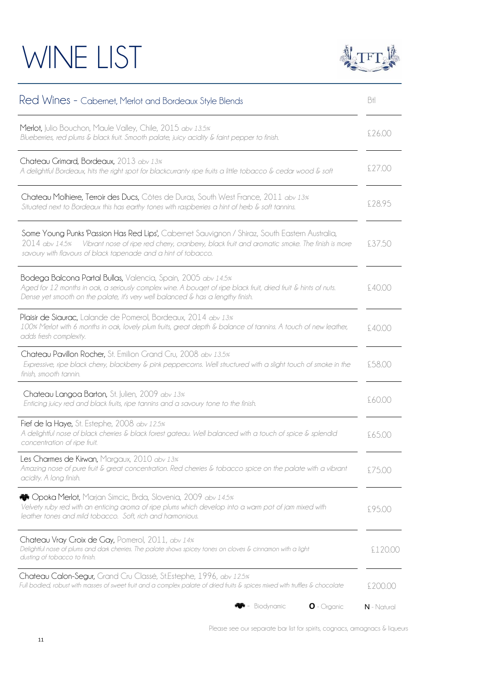

| Red Wines - Cabernet, Merlot and Bordeaux Style Blends                                                                                                                                                                                                                            | Btl           |
|-----------------------------------------------------------------------------------------------------------------------------------------------------------------------------------------------------------------------------------------------------------------------------------|---------------|
| Merlot, Julio Bouchon, Maule Valley, Chile, 2015 abv 13.5%<br>Blueberries, red plums & black fruit. Smooth palate, juicy acidity & faint pepper to finish.                                                                                                                        | £26.00        |
| Chateau Grimard, Bordeaux, 2013 abv 13%<br>A delightful Bordeaux, hits the right spot for blackcurranty ripe fruits a little tobacco & cedar wood & soft                                                                                                                          | £27.00        |
| Chateau Molhiere, Terroir des Ducs, Côtes de Duras, South West France, 2011 aby 13%<br>Situated next to Bordeaux this has earthy tones with raspberries a hint of herb & soft tannins.                                                                                            | £28.95        |
| Some Young Punks 'Passion Has Red Lips', Cabernet Sauvignon / Shiraz, South Eastern Australia,<br>2014 abv 14.5% Vibrant nose of ripe red cherry, cranberry, black fruit and aromatic smoke. The finish is more<br>savoury with flavours of black tapenade and a hint of tobacco. | £37.50        |
| Bodega Balcona Partal Bullas, Valencia, Spain, 2005 abv 14.5%<br>Aged for 12 months in oak, a seriously complex wine. A bouget of ripe black fruit, dried fruit & hints of nuts.<br>Dense yet smooth on the palate, it's very well balanced & has a lengthy finish.               | £40.00        |
| Plaisir de Siaurac, Lalande de Pomerol, Bordeaux, 2014 abv 13%<br>100% Merlot with 6 months in oak, lovely plum fruits, great depth & balance of tannins. A touch of new leather,<br>adds fresh complexity.                                                                       | £40.00        |
| Chateau Pavillon Rocher, St. Emilion Grand Cru, 2008 abv 13.5%<br>Expressive, ripe black cherry, blackberry & pink peppercorns. Well structured with a slight touch of smoke in the<br>finish, smooth tannin.                                                                     | £58.00        |
| Chateau Langoa Barton, St. Julien, 2009 abv 13%<br>Enticing juicy red and black fruits, ripe tannins and a savoury tone to the finish.                                                                                                                                            | £60.00        |
| Fief de la Haye, St. Estephe, 2008 abv 12.5%<br>A delightful nose of black cherries & black forest gateau. Well balanced with a touch of spice & splendid<br>concentration of ripe fruit.                                                                                         | £65.00        |
| Les Charmes de Kirwan, Margaux, 2010 abv 13%<br>Amazing nose of pure fruit & great concentration. Red cherries & tobacco spice on the palate with a vibrant<br>acidity. A long finish.                                                                                            | £75.00        |
| <b>**</b> Opoka Merlot, Marjan Simcic, Brda, Slovenia, 2009 abv 14.5%<br>Velvety ruby red with an enticing aroma of ripe plums which develop into a warm pot of jam mixed with<br>leather tones and mild tobacco. Soft, rich and harmonious.                                      | £95.00        |
| Chateau Vray Croix de Gay, Pomerol, 2011, abv 14%<br>Delightful nose of plums and dark cherries. The palate shows spicey tones on cloves & cinnamon with a light<br>dusting of tobacco to finish.                                                                                 | £120.00       |
| Chateau Calon-Segur, Grand Cru Classé, St.Estephe, 1996, abv 12.5%<br>Full bodied, robust with masses of sweet fruit and a complex palate of dried fruits & spices mixed with truffles & chocolate                                                                                | £200.00       |
| - Biodynamic<br>$\bullet$ - Organic                                                                                                                                                                                                                                               | $N$ - Natural |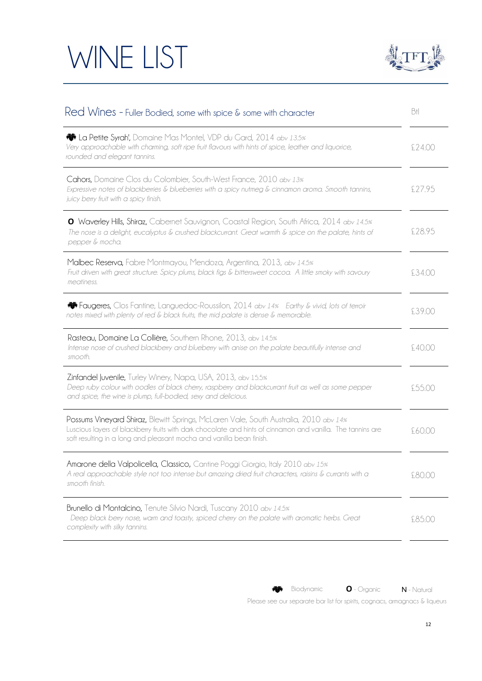

| Red Wines - Fuller Bodied, some with spice & some with character                                                                                                                                                                                                             | <b>Btl</b> |
|------------------------------------------------------------------------------------------------------------------------------------------------------------------------------------------------------------------------------------------------------------------------------|------------|
| <b>**</b> La Petite Syrah', Domaine Mas Montel, VDP du Gard, 2014 abv 13.5%<br>Very approachable with charming, soft ripe fruit flavours with hints of spice, leather and liquorice,<br>rounded and elegant tannins.                                                         | £24.00     |
| Cahors, Domaine Clos du Colombier, South-West France, 2010 abv 13%<br>Expressive notes of blackberries & blueberries with a spicy nutmeg & cinnamon aroma. Smooth tannins,<br>juicy berry fruit with a spicy finish.                                                         | £27.95     |
| <b>O</b> Waverley Hills, Shiraz, Cabernet Sauvignon, Coastal Region, South Africa, 2014 abv 14.5%<br>The nose is a delight, eucalyptus $\&$ crushed blackcurrant. Great warmth $\&$ spice on the palate, hints of<br>pepper & mocha.                                         | £28.95     |
| Malbec Reserva, Fabre Montmayou, Mendoza, Argentina, 2013, abv 14.5%<br>Fruit driven with great structure. Spicy plums, black figs & bittersweet cocoa. A little smoky with savoury<br>meatiness.                                                                            | £34.00     |
| <b>W</b> Faugeres, Clos Fantine, Languedoc-Roussilon, 2014 abv 14% Earthy & vivid, lots of terroir<br>notes mixed with plenty of red & black fruits, the mid palate is dense & memorable.                                                                                    | £39.00     |
| Rasteau, Domaine La Collière, Southern Rhone, 2013, abv 14.5%<br>Intense nose of crushed blackberry and blueberry with anise on the palate beautifully intense and<br>smooth.                                                                                                | £40.00     |
| Zinfandel Juvenile, Turley Winery, Napa, USA, 2013, abv 15.5%<br>Deep ruby colour with oodles of black cherry, raspberry and blackcurrant fruit as well as some pepper<br>and spice, the wine is plump, full-bodied, sexy and delicious.                                     | £55.00     |
| Possums Vineyard Shiraz, Blewitt Springs, McLaren Vale, South Australia, 2010 abv 14%<br>Luscious layers of blackberry fruits with dark chocolate and hints of cinnamon and vanilla. The tannins are<br>soft resulting in a long and pleasant mocha and vanilla bean finish. | £60.00     |
| Amarone della Valpolicella, Classico, Cantine Poggi Giorgio, Italy 2010 abv 15%<br>A real approachable style not too intense but amazing dried fruit characters, raisins & currants with a<br>smooth finish.                                                                 | £80.00     |
| Brunello di Montalcino, Tenute Silvio Nardi, Tuscany 2010 abv 14.5%<br>Deep black berry nose, warm and toasty, spiced cherry on the palate with aromatic herbs. Great<br>complexity with silky tannins.                                                                      | £85.00     |

Biodynamic **O** - Organic **N** - Natural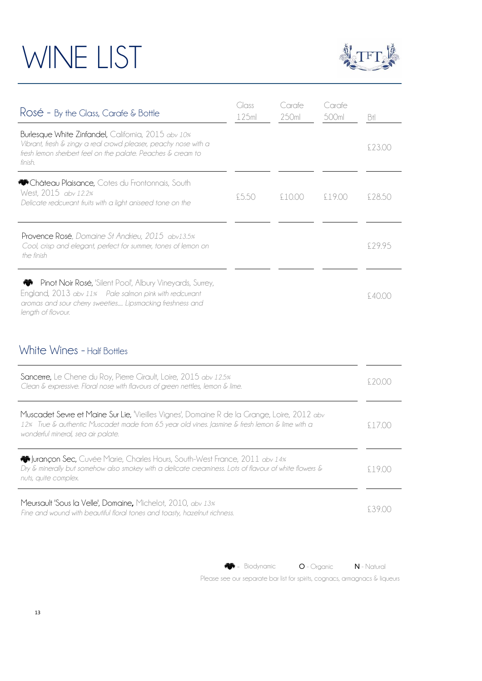

| Rosé - By the Glass, Carafe & Bottle                                                                                                                                                                                                | Glass<br>125ml | Carafe<br>250ml | Carafe<br>500ml | Btl    |
|-------------------------------------------------------------------------------------------------------------------------------------------------------------------------------------------------------------------------------------|----------------|-----------------|-----------------|--------|
| Burlesque White Zinfandel, California, 2015 abv 10%<br>Vibrant, fresh & zingy a real crowd pleaser, peachy nose with a<br>fresh lemon sherbert feel on the palate. Peaches & cream to<br>finish.                                    |                |                 |                 | £23.00 |
| <b>**</b> Château Plaisance, Cotes du Frontonnais, South<br>West, 2015 abv 12.2%<br>Delicate redcurrant fruits with a light aniseed tone on the                                                                                     | £5.50          | £10.00          | £19.00          | £28.50 |
| Provence Rosé, Domaine St Andrieu, 2015 abv13.5%<br>Cool, crisp and elegant, perfect for summer, tones of lemon on<br>the finish                                                                                                    |                |                 |                 | £29.95 |
| <b>No</b> Pinot Noir Rosé, 'Silent Pool', Albury Vineyards, Surrey,<br>England, 2013 abv 11% Pale salmon pink with redcurrant<br>aromas and sour cherry sweeties Lipsmacking freshness and<br>length of flovour.                    |                |                 |                 | £40.00 |
| White Wines - Half Bottles                                                                                                                                                                                                          |                |                 |                 |        |
| Sancerre, Le Chene du Roy, Pierre Girault, Loire, 2015 abv 12.5%<br>Clean & expressive. Floral nose with flavours of green nettles, lemon & lime.                                                                                   |                |                 |                 | £20.00 |
| Muscadet Sevre et Maine Sur Lie, 'Vieilles Vignes', Domaine R de la Grange, Loire, 2012 abv<br>12% True & authentic Muscadet made from 65 year old vines. Jasmine & fresh lemon & lime with a<br>wonderful mineral, sea air palate. |                |                 |                 | £17.00 |
| <b>**</b> Jurançon Sec, Cuvée Marie, Charles Hours, South-West France, 2011 abv 14%<br>Dry & minerally but somehow also smokey with a delicate creaminess. Lots of flavour of white flowers &                                       |                |                 |                 | £19.00 |

Meursault 'Sous la Velle', Domaine**,** Michelot, 2010, *abv 13% Fine and wound with beautiful floral tones and toasty, hazelnut richness.*

- Biodynamic **O** - Organic **N** - Natural

£39.00

Please see our separate bar list for spirits, cognacs, armagnacs & liqueurs

*nuts, quite complex.*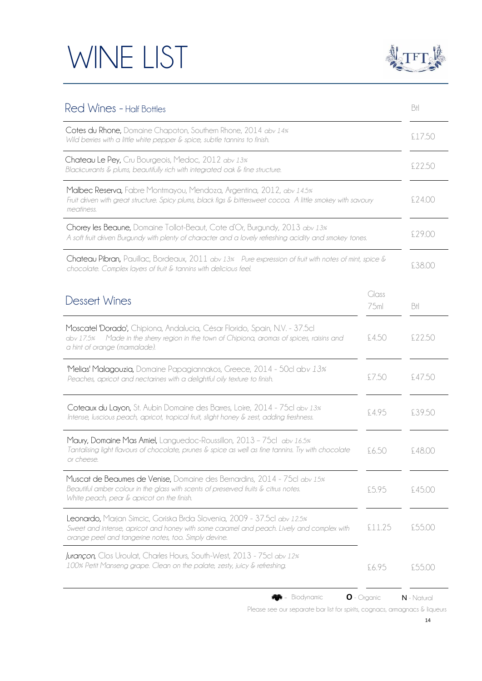

| Red Wines - Half Bottles                                                                                                                                                                                                     |               |        |  |
|------------------------------------------------------------------------------------------------------------------------------------------------------------------------------------------------------------------------------|---------------|--------|--|
| Cotes du Rhone, Domaine Chapoton, Southern Rhone, 2014 abv 14%<br>Wild berries with a little white pepper & spice, subtle tannins to finish.                                                                                 |               |        |  |
| Chateau Le Pey, Cru Bourgeois, Medoc, 2012 abv 13%<br>Blackcurrants & plums, beautifully rich with integrated oak & fine structure.                                                                                          |               |        |  |
| Malbec Reserva, Fabre Montmayou, Mendoza, Argentina, 2012, abv 14.5%<br>Fruit driven with great structure. Spicy plums, black figs & bittersweet cocoa. A little smokey with savoury<br>meatiness.                           |               |        |  |
| Chorey les Beaune, Domaine Tollot-Beaut, Cote d'Or, Burgundy, 2013 abv 13%<br>A soft fruit driven Burgundy with plenty of character and a lovely refreshing acidity and smokey tones.                                        |               |        |  |
| Chateau Pibran, Pauillac, Bordeaux, 2011 abv 13% Pure expression of fruit with notes of mint, spice &<br>chocolate. Complex layers of fruit & tannins with delicious feel.                                                   |               |        |  |
| Dessert Wines                                                                                                                                                                                                                | Glass<br>75ml | Btl    |  |
| Moscatel 'Dorado', Chipiona, Andalucia, César Florido, Spain, N.V. - 37.5cl<br>Made in the sherry region in the town of Chipiona, aromas of spices, raisins and<br>aby 17.5%<br>a hint of orange (marmalade).                |               | £22.50 |  |
| "Melias' Malagouzia, Domaine Papagiannakos, Greece, 2014 - 50cl abv 13%<br>Peaches, apricot and nectarines with a delightful oily texture to finish.                                                                         |               | £47.50 |  |
| Coteaux du Layon, St. Aubin Domaine des Barres, Loire, 2014 - 75cl abv 13%<br>Intense, luscious peach, apricot, tropical fruit, slight honey & zest, adding freshness.                                                       |               | £39.50 |  |
| Maury, Domaine Mas Amiel, Languedoc-Roussillon, 2013 - 75cl abv 16.5%<br>Tantalising light flavours of chocolate, prunes & spice as well as fine tannins. Try with chocolate<br>or cheese.                                   |               | £48.00 |  |
| Muscat de Beaumes de Venise, Domaine des Bernardins, 2014 - 75cl aby 15%<br>Beautiful amber colour in the glass with scents of preserved fruits & citrus notes.<br>White peach, pear & apricot on the finish.                |               | £45.00 |  |
| Leonardo, Marjan Simcic, Goriska Brda Slovenia, 2009 - 37.5cl abv 12.5%<br>Sweet and intense, apricot and honey with some caramel and peach. Lively and complex with<br>orange peel and tangerine notes, too. Simply devine. |               | £55.00 |  |
| Jurançon, Clos Uroulat, Charles Hours, South-West, 2013 - 75cl abv 12%<br>100% Petit Manseng grape. Clean on the palate, zesty, juicy & refreshing.                                                                          | £6.95         | £55.00 |  |
|                                                                                                                                                                                                                              |               |        |  |

- Biodynamic **O** - Organic **N** - Natural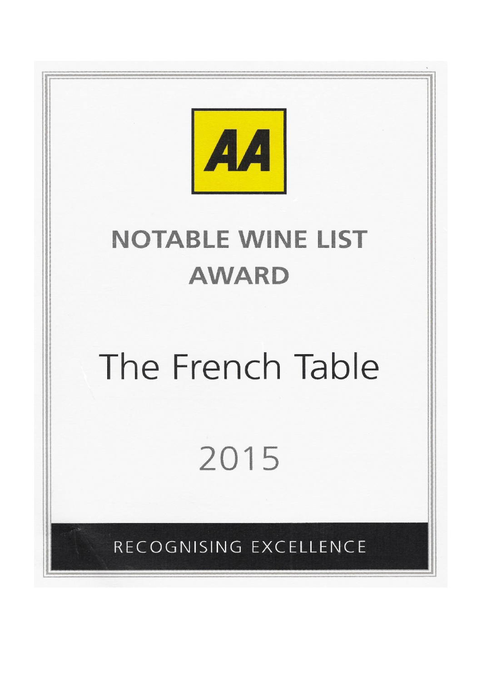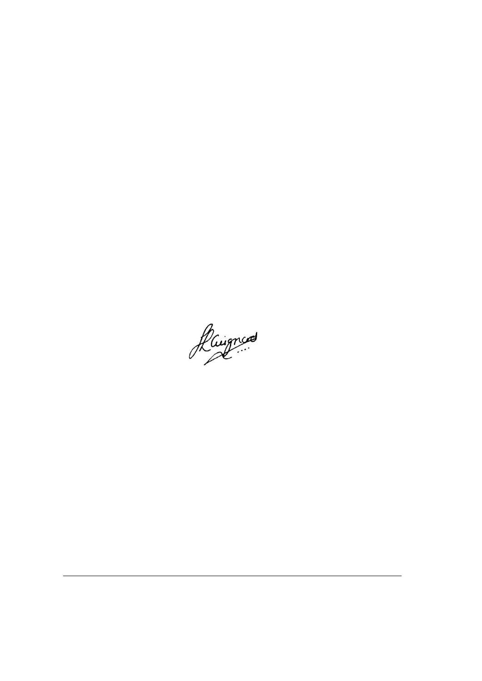Raignad